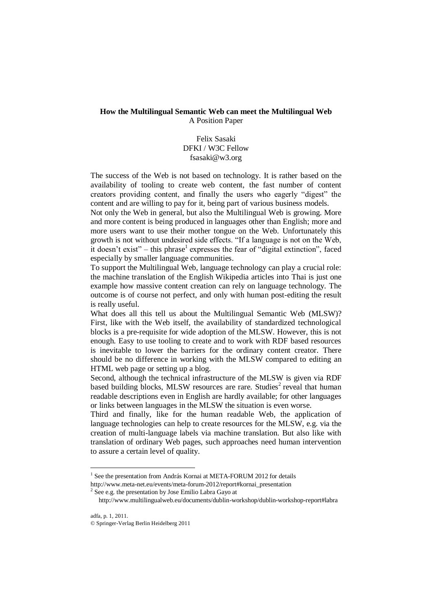## **How the Multilingual Semantic Web can meet the Multilingual Web** A Position Paper

## Felix Sasaki DFKI / W3C Fellow fsasaki@w3.org

The success of the Web is not based on technology. It is rather based on the availability of tooling to create web content, the fast number of content creators providing content, and finally the users who eagerly "digest" the content and are willing to pay for it, being part of various business models.

Not only the Web in general, but also the Multilingual Web is growing. More and more content is being produced in languages other than English; more and more users want to use their mother tongue on the Web. Unfortunately this growth is not without undesired side effects. "If a language is not on the Web, it doesn't exist" – this phrase<sup>1</sup> expresses the fear of "digital extinction", faced especially by smaller language communities.

To support the Multilingual Web, language technology can play a crucial role: the machine translation of the English Wikipedia articles into Thai is just one example how massive content creation can rely on language technology. The outcome is of course not perfect, and only with human post-editing the result is really useful.

What does all this tell us about the Multilingual Semantic Web (MLSW)? First, like with the Web itself, the availability of standardized technological blocks is a pre-requisite for wide adoption of the MLSW. However, this is not enough. Easy to use tooling to create and to work with RDF based resources is inevitable to lower the barriers for the ordinary content creator. There should be no difference in working with the MLSW compared to editing an HTML web page or setting up a blog.

Second, although the technical infrastructure of the MLSW is given via RDF based building blocks, MLSW resources are rare. Studies<sup>2</sup> reveal that human readable descriptions even in English are hardly available; for other languages or links between languages in the MLSW the situation is even worse.

Third and finally, like for the human readable Web, the application of language technologies can help to create resources for the MLSW, e.g. via the creation of multi-language labels via machine translation. But also like with translation of ordinary Web pages, such approaches need human intervention to assure a certain level of quality.

<u>.</u>

<sup>&</sup>lt;sup>1</sup> See the presentation from András Kornai at META-FORUM 2012 for details

[http://www.meta-net.eu/events/meta-forum-2012/report#kornai\\_presentation](http://www.meta-net.eu/events/meta-forum-2012/report#kornai_presentation)

 $2$  See e.g. the presentation by Jose Emilio Labra Gayo at

http://www.multilingualweb.eu/documents/dublin-workshop/dublin-workshop-report#labra

<sup>©</sup> Springer-Verlag Berlin Heidelberg 2011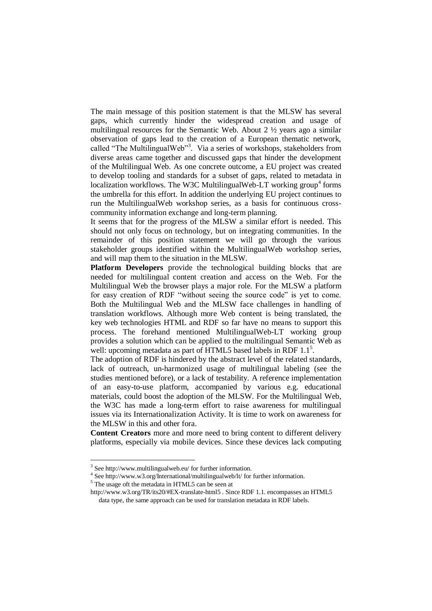The main message of this position statement is that the MLSW has several gaps, which currently hinder the widespread creation and usage of multilingual resources for the Semantic Web. About 2 ½ years ago a similar observation of gaps lead to the creation of a European thematic network, called "The MultilingualWeb"<sup>3</sup>. Via a series of workshops, stakeholders from diverse areas came together and discussed gaps that hinder the development of the Multilingual Web. As one concrete outcome, a EU project was created to develop tooling and standards for a subset of gaps, related to metadata in localization workflows. The W3C MultilingualWeb-LT working group<sup>4</sup> forms the umbrella for this effort. In addition the underlying EU project continues to run the MultilingualWeb workshop series, as a basis for continuous crosscommunity information exchange and long-term planning.

It seems that for the progress of the MLSW a similar effort is needed. This should not only focus on technology, but on integrating communities. In the remainder of this position statement we will go through the various stakeholder groups identified within the MultilingualWeb workshop series, and will map them to the situation in the MLSW.

**Platform Developers** provide the technological building blocks that are needed for multilingual content creation and access on the Web. For the Multilingual Web the browser plays a major role. For the MLSW a platform for easy creation of RDF "without seeing the source code" is yet to come. Both the Multilingual Web and the MLSW face challenges in handling of translation workflows. Although more Web content is being translated, the key web technologies HTML and RDF so far have no means to support this process. The forehand mentioned MultilingualWeb-LT working group provides a solution which can be applied to the multilingual Semantic Web as well: upcoming metadata as part of  $\widehat{HTML5}$  based labels in RDF  $1.1^5$ .

The adoption of RDF is hindered by the abstract level of the related standards, lack of outreach, un-harmonized usage of multilingual labeling (see the studies mentioned before), or a lack of testability. A reference implementation of an easy-to-use platform, accompanied by various e.g. educational materials, could boost the adoption of the MLSW. For the Multilingual Web, the W3C has made a long-term effort to raise awareness for multilingual issues via its Internationalization Activity. It is time to work on awareness for the MLSW in this and other fora.

**Content Creators** more and more need to bring content to different delivery platforms, especially via mobile devices. Since these devices lack computing

<sup>5</sup> The usage oft the metadata in HTML5 can be seen at

1

<http://www.w3.org/TR/its20/#EX-translate-html5> . Since RDF 1.1. encompasses an HTML5 data type, the same approach can be used for translation metadata in RDF labels.

<sup>&</sup>lt;sup>3</sup> Se[e http://www.multilingualweb.eu/](http://www.multilingualweb.eu/) for further information.

<sup>&</sup>lt;sup>4</sup> Se[e http://www.w3.org/International/multilingualweb/lt/](http://www.w3.org/International/multilingualweb/lt/) for further information.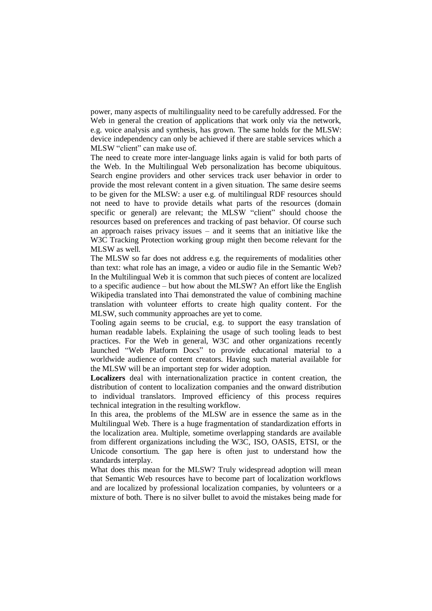power, many aspects of multilinguality need to be carefully addressed. For the Web in general the creation of applications that work only via the network, e.g. voice analysis and synthesis, has grown. The same holds for the MLSW: device independency can only be achieved if there are stable services which a MLSW "client" can make use of.

The need to create more inter-language links again is valid for both parts of the Web. In the Multilingual Web personalization has become ubiquitous. Search engine providers and other services track user behavior in order to provide the most relevant content in a given situation. The same desire seems to be given for the MLSW: a user e.g. of multilingual RDF resources should not need to have to provide details what parts of the resources (domain specific or general) are relevant; the MLSW "client" should choose the resources based on preferences and tracking of past behavior. Of course such an approach raises privacy issues – and it seems that an initiative like the W3C Tracking Protection working group might then become relevant for the MLSW as well.

The MLSW so far does not address e.g. the requirements of modalities other than text: what role has an image, a video or audio file in the Semantic Web? In the Multilingual Web it is common that such pieces of content are localized to a specific audience – but how about the MLSW? An effort like the English Wikipedia translated into Thai demonstrated the value of combining machine translation with volunteer efforts to create high quality content. For the MLSW, such community approaches are yet to come.

Tooling again seems to be crucial, e.g. to support the easy translation of human readable labels. Explaining the usage of such tooling leads to best practices. For the Web in general, W3C and other organizations recently launched "Web Platform Docs" to provide educational material to a worldwide audience of content creators. Having such material available for the MLSW will be an important step for wider adoption.

**Localizers** deal with internationalization practice in content creation, the distribution of content to localization companies and the onward distribution to individual translators. Improved efficiency of this process requires technical integration in the resulting workflow.

In this area, the problems of the MLSW are in essence the same as in the Multilingual Web. There is a huge fragmentation of standardization efforts in the localization area. Multiple, sometime overlapping standards are available from different organizations including the W3C, ISO, OASIS, ETSI, or the Unicode consortium. The gap here is often just to understand how the standards interplay.

What does this mean for the MLSW? Truly widespread adoption will mean that Semantic Web resources have to become part of localization workflows and are localized by professional localization companies, by volunteers or a mixture of both. There is no silver bullet to avoid the mistakes being made for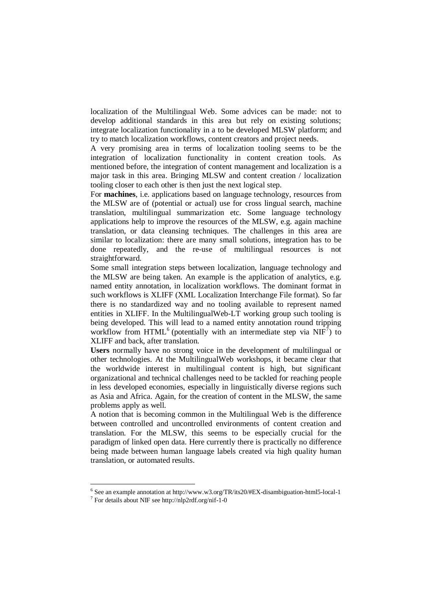localization of the Multilingual Web. Some advices can be made: not to develop additional standards in this area but rely on existing solutions; integrate localization functionality in a to be developed MLSW platform; and try to match localization workflows, content creators and project needs.

A very promising area in terms of localization tooling seems to be the integration of localization functionality in content creation tools. As mentioned before, the integration of content management and localization is a major task in this area. Bringing MLSW and content creation / localization tooling closer to each other is then just the next logical step.

For **machines**, i.e. applications based on language technology, resources from the MLSW are of (potential or actual) use for cross lingual search, machine translation, multilingual summarization etc. Some language technology applications help to improve the resources of the MLSW, e.g. again machine translation, or data cleansing techniques. The challenges in this area are similar to localization: there are many small solutions, integration has to be done repeatedly, and the re-use of multilingual resources is not straightforward.

Some small integration steps between localization, language technology and the MLSW are being taken. An example is the application of analytics, e.g. named entity annotation, in localization workflows. The dominant format in such workflows is XLIFF (XML Localization Interchange File format). So far there is no standardized way and no tooling available to represent named entities in XLIFF. In the MultilingualWeb-LT working group such tooling is being developed. This will lead to a named entity annotation round tripping workflow from HTML<sup>6</sup> (potentially with an intermediate step via  $NIF^7$ ) to XLIFF and back, after translation.

**Users** normally have no strong voice in the development of multilingual or other technologies. At the MultilingualWeb workshops, it became clear that the worldwide interest in multilingual content is high, but significant organizational and technical challenges need to be tackled for reaching people in less developed economies, especially in linguistically diverse regions such as Asia and Africa. Again, for the creation of content in the MLSW, the same problems apply as well.

A notion that is becoming common in the Multilingual Web is the difference between controlled and uncontrolled environments of content creation and translation. For the MLSW, this seems to be especially crucial for the paradigm of linked open data. Here currently there is practically no difference being made between human language labels created via high quality human translation, or automated results.

<u>.</u>

<sup>&</sup>lt;sup>6</sup> See an example annotation at http://www.w3.org/TR/its20/#EX-disambiguation-html5-local-1

<sup>7</sup> For details about NIF see http://nlp2rdf.org/nif-1-0